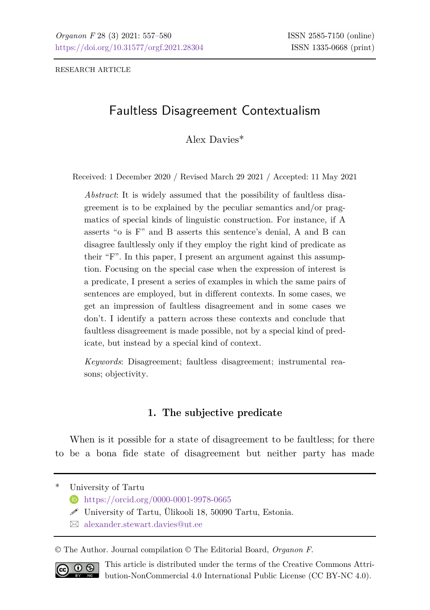RESEARCH ARTICLE

# Faultless Disagreement Contextualism

Alex Davies\*

Received: 1 December 2020 / Revised March 29 2021 / Accepted: 11 May 2021

*Abstract*: It is widely assumed that the possibility of faultless disagreement is to be explained by the peculiar semantics and/or pragmatics of special kinds of linguistic construction. For instance, if A asserts "o is F" and B asserts this sentence's denial, A and B can disagree faultlessly only if they employ the right kind of predicate as their "F". In this paper, I present an argument against this assumption. Focusing on the special case when the expression of interest is a predicate, I present a series of examples in which the same pairs of sentences are employed, but in different contexts. In some cases, we get an impression of faultless disagreement and in some cases we don't. I identify a pattern across these contexts and conclude that faultless disagreement is made possible, not by a special kind of predicate, but instead by a special kind of context.

*Keywords*: Disagreement; faultless disagreement; instrumental reasons; objectivity.

# **1. The subjective predicate**

When is it possible for a state of disagreement to be faultless; for there to be a bona fide state of disagreement but neither party has made

University of Tartu

- <https://orcid.org/0000-0001-9978-0665>
- $\mathscr S$  University of Tartu, Ülikooli 18, 50090 Tartu, Estonia.
- [alexander.stewart.davies@ut.ee](mailto:alexander.stewart.davies@ut.ee)

© The Author. Journal compilation © The Editorial Board, *Organon F*.



This article is distributed under the terms of the Creative Commons Attribution-NonCommercial 4.0 International Public License (CC BY-NC 4.0).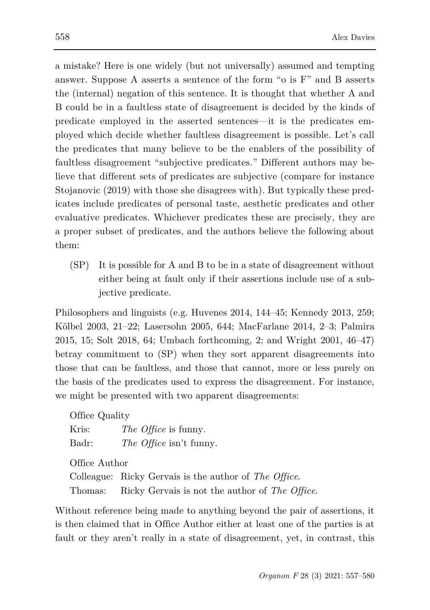a mistake? Here is one widely (but not universally) assumed and tempting answer. Suppose A asserts a sentence of the form "o is F" and B asserts the (internal) negation of this sentence. It is thought that whether A and B could be in a faultless state of disagreement is decided by the kinds of predicate employed in the asserted sentences—it is the predicates employed which decide whether faultless disagreement is possible. Let's call the predicates that many believe to be the enablers of the possibility of faultless disagreement "subjective predicates." Different authors may believe that different sets of predicates are subjective (compare for instance Stojanovic (2019) with those she disagrees with). But typically these predicates include predicates of personal taste, aesthetic predicates and other evaluative predicates. Whichever predicates these are precisely, they are a proper subset of predicates, and the authors believe the following about them:

(SP) It is possible for A and B to be in a state of disagreement without either being at fault only if their assertions include use of a subjective predicate.

Philosophers and linguists (e.g. Huvenes 2014, 144–45; Kennedy 2013, 259; Kölbel 2003, 21–22; Lasersohn 2005, 644; MacFarlane 2014, 2–3; Palmira 2015, 15; Solt 2018, 64; Umbach forthcoming, 2; and Wright 2001, 46–47) betray commitment to (SP) when they sort apparent disagreements into those that can be faultless, and those that cannot, more or less purely on the basis of the predicates used to express the disagreement. For instance, we might be presented with two apparent disagreements:

Office Quality

| Kris: | The Office is funny.           |
|-------|--------------------------------|
| Badr: | <i>The Office</i> isn't funny. |

Office Author Colleague: Ricky Gervais is the author of *The Office*. Thomas: Ricky Gervais is not the author of *The Office*.

Without reference being made to anything beyond the pair of assertions, it is then claimed that in Office Author either at least one of the parties is at fault or they aren't really in a state of disagreement, yet, in contrast, this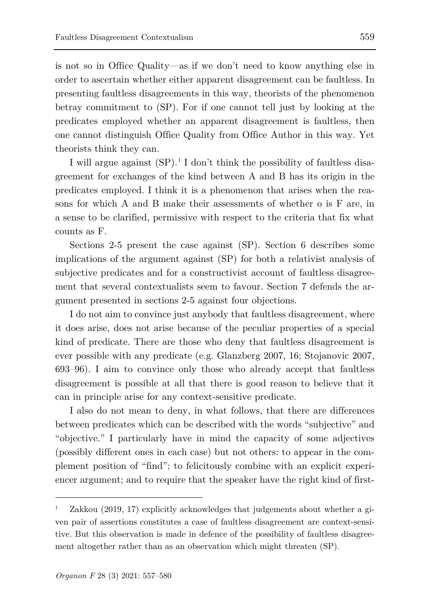is not so in Office Quality—as if we don't need to know anything else in order to ascertain whether either apparent disagreement can be faultless. In presenting faultless disagreements in this way, theorists of the phenomenon betray commitment to (SP). For if one cannot tell just by looking at the predicates employed whether an apparent disagreement is faultless, then one cannot distinguish Office Quality from Office Author in this way. Yet theorists think they can.

I will argue against  $(SP)^{1}$  $(SP)^{1}$  $(SP)^{1}$  I don't think the possibility of faultless disagreement for exchanges of the kind between A and B has its origin in the predicates employed. I think it is a phenomenon that arises when the reasons for which A and B make their assessments of whether o is F are, in a sense to be clarified, permissive with respect to the criteria that fix what counts as F.

Sections 2-5 present the case against (SP). Section 6 describes some implications of the argument against (SP) for both a relativist analysis of subjective predicates and for a constructivist account of faultless disagreement that several contextualists seem to favour. Section 7 defends the argument presented in sections 2-5 against four objections.

I do not aim to convince just anybody that faultless disagreement, where it does arise, does not arise because of the peculiar properties of a special kind of predicate. There are those who deny that faultless disagreement is ever possible with any predicate (e.g. Glanzberg 2007, 16; Stojanovic 2007, 693–96). I aim to convince only those who already accept that faultless disagreement is possible at all that there is good reason to believe that it can in principle arise for any context-sensitive predicate.

I also do not mean to deny, in what follows, that there are differences between predicates which can be described with the words "subjective" and "objective." I particularly have in mind the capacity of some adjectives (possibly different ones in each case) but not others: to appear in the complement position of "find"; to felicitously combine with an explicit experiencer argument; and to require that the speaker have the right kind of first-

ł

<span id="page-2-0"></span><sup>1</sup> Zakkou (2019, 17) explicitly acknowledges that judgements about whether a given pair of assertions constitutes a case of faultless disagreement are context-sensitive. But this observation is made in defence of the possibility of faultless disagreement altogether rather than as an observation which might threaten (SP).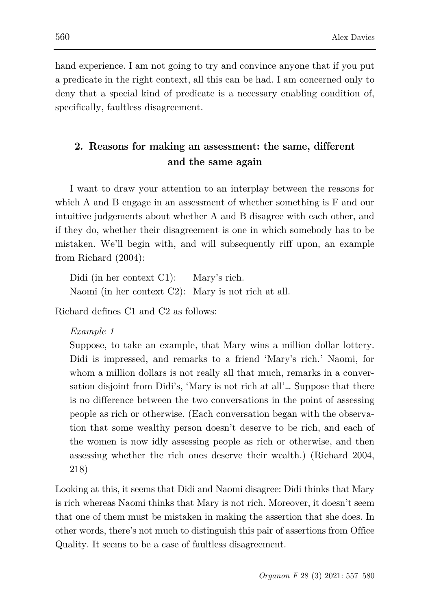hand experience. I am not going to try and convince anyone that if you put a predicate in the right context, all this can be had. I am concerned only to deny that a special kind of predicate is a necessary enabling condition of, specifically, faultless disagreement.

# **2. Reasons for making an assessment: the same, different and the same again**

I want to draw your attention to an interplay between the reasons for which A and B engage in an assessment of whether something is F and our intuitive judgements about whether A and B disagree with each other, and if they do, whether their disagreement is one in which somebody has to be mistaken. We'll begin with, and will subsequently riff upon, an example from Richard (2004):

Didi (in her context C1): Mary's rich. Naomi (in her context C2): Mary is not rich at all.

Richard defines C1 and C2 as follows:

### *Example 1*

Suppose, to take an example, that Mary wins a million dollar lottery. Didi is impressed, and remarks to a friend 'Mary's rich.' Naomi, for whom a million dollars is not really all that much, remarks in a conversation disjoint from Didi's, 'Mary is not rich at all'… Suppose that there is no difference between the two conversations in the point of assessing people as rich or otherwise. (Each conversation began with the observation that some wealthy person doesn't deserve to be rich, and each of the women is now idly assessing people as rich or otherwise, and then assessing whether the rich ones deserve their wealth.) (Richard 2004, 218)

Looking at this, it seems that Didi and Naomi disagree: Didi thinks that Mary is rich whereas Naomi thinks that Mary is not rich. Moreover, it doesn't seem that one of them must be mistaken in making the assertion that she does. In other words, there's not much to distinguish this pair of assertions from Office Quality. It seems to be a case of faultless disagreement.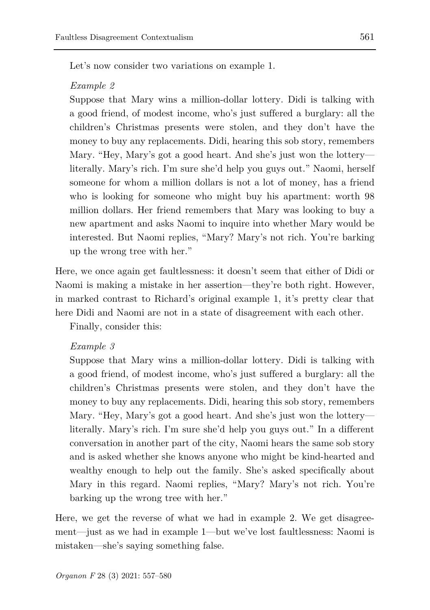Let's now consider two variations on example 1.

#### *Example 2*

Suppose that Mary wins a million-dollar lottery. Didi is talking with a good friend, of modest income, who's just suffered a burglary: all the children's Christmas presents were stolen, and they don't have the money to buy any replacements. Didi, hearing this sob story, remembers Mary. "Hey, Mary's got a good heart. And she's just won the lottery literally. Mary's rich. I'm sure she'd help you guys out." Naomi, herself someone for whom a million dollars is not a lot of money, has a friend who is looking for someone who might buy his apartment: worth 98 million dollars. Her friend remembers that Mary was looking to buy a new apartment and asks Naomi to inquire into whether Mary would be interested. But Naomi replies, "Mary? Mary's not rich. You're barking up the wrong tree with her."

Here, we once again get faultlessness: it doesn't seem that either of Didi or Naomi is making a mistake in her assertion—they're both right. However, in marked contrast to Richard's original example 1, it's pretty clear that here Didi and Naomi are not in a state of disagreement with each other.

Finally, consider this:

#### *Example 3*

Suppose that Mary wins a million-dollar lottery. Didi is talking with a good friend, of modest income, who's just suffered a burglary: all the children's Christmas presents were stolen, and they don't have the money to buy any replacements. Didi, hearing this sob story, remembers Mary. "Hey, Mary's got a good heart. And she's just won the lottery literally. Mary's rich. I'm sure she'd help you guys out." In a different conversation in another part of the city, Naomi hears the same sob story and is asked whether she knows anyone who might be kind-hearted and wealthy enough to help out the family. She's asked specifically about Mary in this regard. Naomi replies, "Mary? Mary's not rich. You're barking up the wrong tree with her."

Here, we get the reverse of what we had in example 2. We get disagreement—just as we had in example 1—but we've lost faultlessness: Naomi is mistaken—she's saying something false.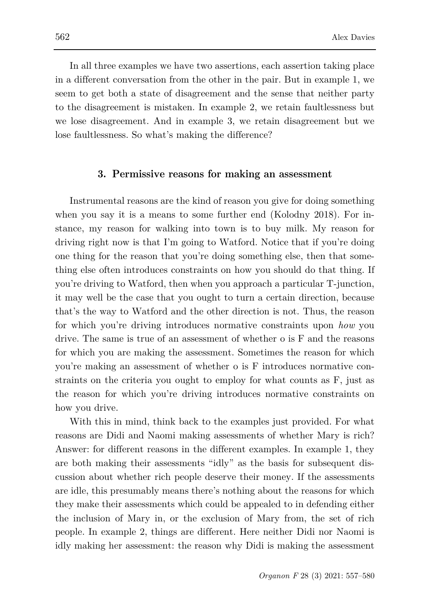In all three examples we have two assertions, each assertion taking place in a different conversation from the other in the pair. But in example 1, we seem to get both a state of disagreement and the sense that neither party to the disagreement is mistaken. In example 2, we retain faultlessness but we lose disagreement. And in example 3, we retain disagreement but we lose faultlessness. So what's making the difference?

### **3. Permissive reasons for making an assessment**

Instrumental reasons are the kind of reason you give for doing something when you say it is a means to some further end (Kolodny 2018). For instance, my reason for walking into town is to buy milk. My reason for driving right now is that I'm going to Watford. Notice that if you're doing one thing for the reason that you're doing something else, then that something else often introduces constraints on how you should do that thing. If you're driving to Watford, then when you approach a particular T-junction, it may well be the case that you ought to turn a certain direction, because that's the way to Watford and the other direction is not. Thus, the reason for which you're driving introduces normative constraints upon *how* you drive. The same is true of an assessment of whether o is F and the reasons for which you are making the assessment. Sometimes the reason for which you're making an assessment of whether o is F introduces normative constraints on the criteria you ought to employ for what counts as F, just as the reason for which you're driving introduces normative constraints on how you drive.

With this in mind, think back to the examples just provided. For what reasons are Didi and Naomi making assessments of whether Mary is rich? Answer: for different reasons in the different examples. In example 1, they are both making their assessments "idly" as the basis for subsequent discussion about whether rich people deserve their money. If the assessments are idle, this presumably means there's nothing about the reasons for which they make their assessments which could be appealed to in defending either the inclusion of Mary in, or the exclusion of Mary from, the set of rich people. In example 2, things are different. Here neither Didi nor Naomi is idly making her assessment: the reason why Didi is making the assessment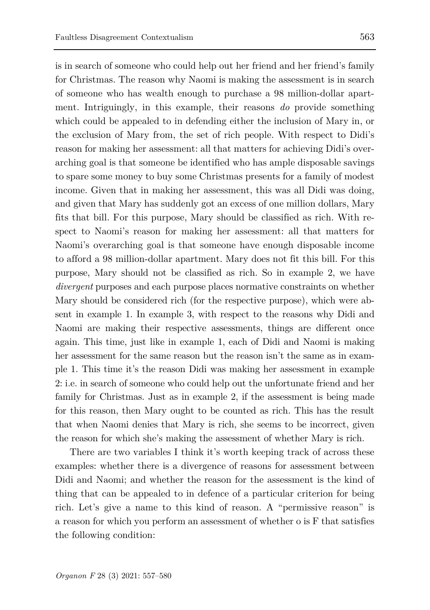is in search of someone who could help out her friend and her friend's family for Christmas. The reason why Naomi is making the assessment is in search of someone who has wealth enough to purchase a 98 million-dollar apartment. Intriguingly, in this example, their reasons *do* provide something which could be appealed to in defending either the inclusion of Mary in, or the exclusion of Mary from, the set of rich people. With respect to Didi's reason for making her assessment: all that matters for achieving Didi's overarching goal is that someone be identified who has ample disposable savings to spare some money to buy some Christmas presents for a family of modest income. Given that in making her assessment, this was all Didi was doing, and given that Mary has suddenly got an excess of one million dollars, Mary fits that bill. For this purpose, Mary should be classified as rich. With respect to Naomi's reason for making her assessment: all that matters for Naomi's overarching goal is that someone have enough disposable income to afford a 98 million-dollar apartment. Mary does not fit this bill. For this purpose, Mary should not be classified as rich. So in example 2, we have *divergent* purposes and each purpose places normative constraints on whether Mary should be considered rich (for the respective purpose), which were absent in example 1. In example 3, with respect to the reasons why Didi and Naomi are making their respective assessments, things are different once again. This time, just like in example 1, each of Didi and Naomi is making her assessment for the same reason but the reason isn't the same as in example 1. This time it's the reason Didi was making her assessment in example 2: i.e. in search of someone who could help out the unfortunate friend and her family for Christmas. Just as in example 2, if the assessment is being made for this reason, then Mary ought to be counted as rich. This has the result that when Naomi denies that Mary is rich, she seems to be incorrect, given the reason for which she's making the assessment of whether Mary is rich.

There are two variables I think it's worth keeping track of across these examples: whether there is a divergence of reasons for assessment between Didi and Naomi; and whether the reason for the assessment is the kind of thing that can be appealed to in defence of a particular criterion for being rich. Let's give a name to this kind of reason. A "permissive reason" is a reason for which you perform an assessment of whether o is F that satisfies the following condition: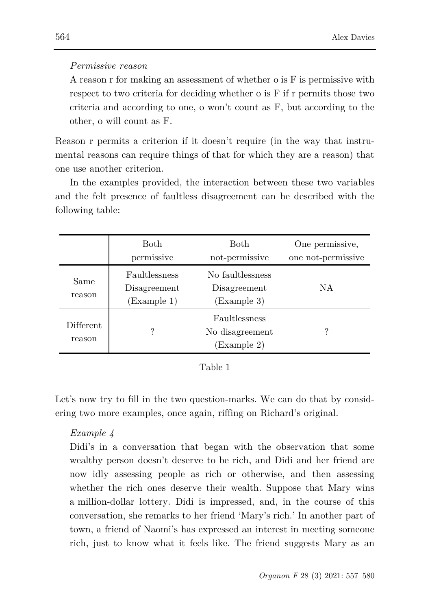### *Permissive reason*

A reason r for making an assessment of whether o is F is permissive with respect to two criteria for deciding whether o is F if r permits those two criteria and according to one, o won't count as F, but according to the other, o will count as F.

Reason r permits a criterion if it doesn't require (in the way that instrumental reasons can require things of that for which they are a reason) that one use another criterion.

In the examples provided, the interaction between these two variables and the felt presence of faultless disagreement can be described with the following table:

|                      | <b>Both</b><br>permissive                    | <b>Both</b><br>not-permissive                   | One permissive,<br>one not-permissive |
|----------------------|----------------------------------------------|-------------------------------------------------|---------------------------------------|
| Same<br>reason       | Faultlessness<br>Disagreement<br>(Example 1) | No faultlessness<br>Disagreement<br>(Example 3) | NA                                    |
| Different.<br>reason | ?                                            | Faultlessness<br>No disagreement<br>(Example 2) | ?                                     |

Let's now try to fill in the two question-marks. We can do that by considering two more examples, once again, riffing on Richard's original.

### *Example 4*

Didi's in a conversation that began with the observation that some wealthy person doesn't deserve to be rich, and Didi and her friend are now idly assessing people as rich or otherwise, and then assessing whether the rich ones deserve their wealth. Suppose that Mary wins a million-dollar lottery. Didi is impressed, and, in the course of this conversation, she remarks to her friend 'Mary's rich.' In another part of town, a friend of Naomi's has expressed an interest in meeting someone rich, just to know what it feels like. The friend suggests Mary as an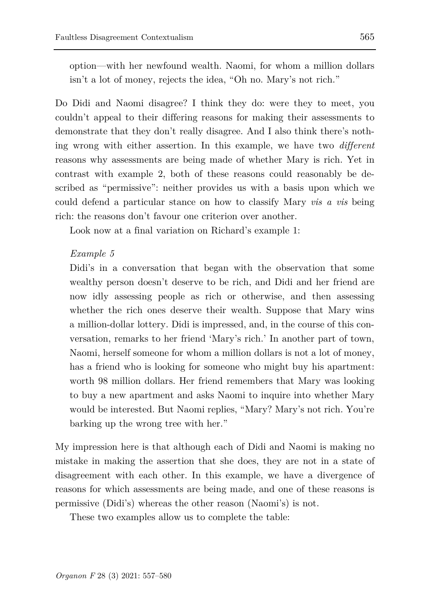option—with her newfound wealth. Naomi, for whom a million dollars isn't a lot of money, rejects the idea, "Oh no. Mary's not rich."

Do Didi and Naomi disagree? I think they do: were they to meet, you couldn't appeal to their differing reasons for making their assessments to demonstrate that they don't really disagree. And I also think there's nothing wrong with either assertion. In this example, we have two *different* reasons why assessments are being made of whether Mary is rich. Yet in contrast with example 2, both of these reasons could reasonably be described as "permissive": neither provides us with a basis upon which we could defend a particular stance on how to classify Mary *vis a vis* being rich: the reasons don't favour one criterion over another.

Look now at a final variation on Richard's example 1:

### *Example 5*

Didi's in a conversation that began with the observation that some wealthy person doesn't deserve to be rich, and Didi and her friend are now idly assessing people as rich or otherwise, and then assessing whether the rich ones deserve their wealth. Suppose that Mary wins a million-dollar lottery. Didi is impressed, and, in the course of this conversation, remarks to her friend 'Mary's rich.' In another part of town, Naomi, herself someone for whom a million dollars is not a lot of money, has a friend who is looking for someone who might buy his apartment: worth 98 million dollars. Her friend remembers that Mary was looking to buy a new apartment and asks Naomi to inquire into whether Mary would be interested. But Naomi replies, "Mary? Mary's not rich. You're barking up the wrong tree with her."

My impression here is that although each of Didi and Naomi is making no mistake in making the assertion that she does, they are not in a state of disagreement with each other. In this example, we have a divergence of reasons for which assessments are being made, and one of these reasons is permissive (Didi's) whereas the other reason (Naomi's) is not.

These two examples allow us to complete the table: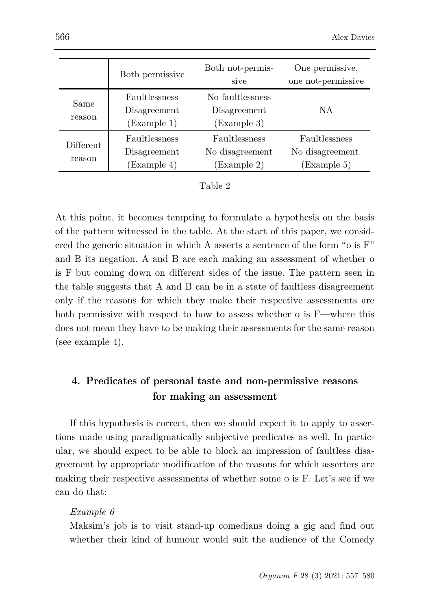|                      | Both permissive                              | Both not-permis-<br>sive                        | One permissive,<br>one not-permissive            |
|----------------------|----------------------------------------------|-------------------------------------------------|--------------------------------------------------|
| Same<br>reason       | Faultlessness<br>Disagreement<br>(Example 1) | No faultlessness<br>Disagreement<br>(Example 3) | NA                                               |
| Different.<br>reason | Faultlessness<br>Disagreement<br>(Example 4) | Faultlessness<br>No disagreement<br>(Example 2) | Faultlessness<br>No disagreement.<br>(Example 5) |

| `able |  |
|-------|--|
|-------|--|

At this point, it becomes tempting to formulate a hypothesis on the basis of the pattern witnessed in the table. At the start of this paper, we considered the generic situation in which A asserts a sentence of the form "o is F" and B its negation. A and B are each making an assessment of whether o is F but coming down on different sides of the issue. The pattern seen in the table suggests that A and B can be in a state of faultless disagreement only if the reasons for which they make their respective assessments are both permissive with respect to how to assess whether o is F—where this does not mean they have to be making their assessments for the same reason (see example 4).

# **4. Predicates of personal taste and non-permissive reasons for making an assessment**

If this hypothesis is correct, then we should expect it to apply to assertions made using paradigmatically subjective predicates as well. In particular, we should expect to be able to block an impression of faultless disagreement by appropriate modification of the reasons for which asserters are making their respective assessments of whether some o is F. Let's see if we can do that:

### *Example 6*

Maksim's job is to visit stand-up comedians doing a gig and find out whether their kind of humour would suit the audience of the Comedy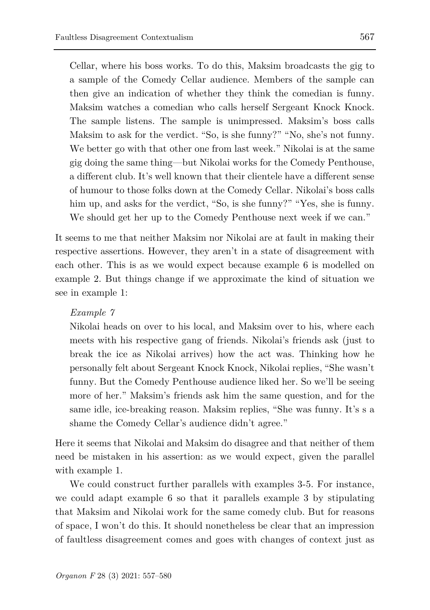Cellar, where his boss works. To do this, Maksim broadcasts the gig to a sample of the Comedy Cellar audience. Members of the sample can then give an indication of whether they think the comedian is funny. Maksim watches a comedian who calls herself Sergeant Knock Knock. The sample listens. The sample is unimpressed. Maksim's boss calls Maksim to ask for the verdict. "So, is she funny?" "No, she's not funny. We better go with that other one from last week." Nikolai is at the same gig doing the same thing—but Nikolai works for the Comedy Penthouse, a different club. It's well known that their clientele have a different sense of humour to those folks down at the Comedy Cellar. Nikolai's boss calls him up, and asks for the verdict, "So, is she funny?" "Yes, she is funny. We should get her up to the Comedy Penthouse next week if we can."

It seems to me that neither Maksim nor Nikolai are at fault in making their respective assertions. However, they aren't in a state of disagreement with each other. This is as we would expect because example 6 is modelled on example 2. But things change if we approximate the kind of situation we see in example 1:

# *Example 7*

Nikolai heads on over to his local, and Maksim over to his, where each meets with his respective gang of friends. Nikolai's friends ask (just to break the ice as Nikolai arrives) how the act was. Thinking how he personally felt about Sergeant Knock Knock, Nikolai replies, "She wasn't funny. But the Comedy Penthouse audience liked her. So we'll be seeing more of her." Maksim's friends ask him the same question, and for the same idle, ice-breaking reason. Maksim replies, "She was funny. It's s a shame the Comedy Cellar's audience didn't agree."

Here it seems that Nikolai and Maksim do disagree and that neither of them need be mistaken in his assertion: as we would expect, given the parallel with example 1.

We could construct further parallels with examples 3-5. For instance, we could adapt example 6 so that it parallels example 3 by stipulating that Maksim and Nikolai work for the same comedy club. But for reasons of space, I won't do this. It should nonetheless be clear that an impression of faultless disagreement comes and goes with changes of context just as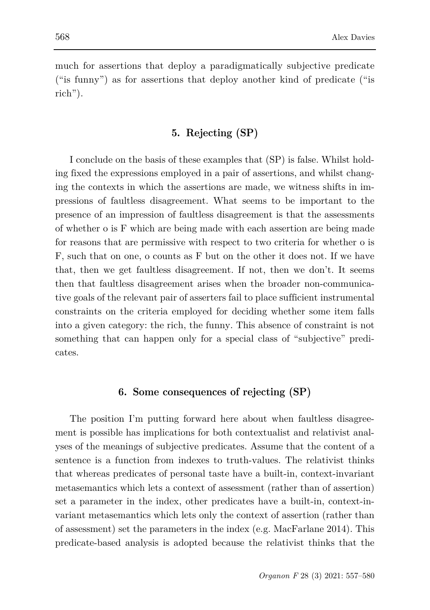much for assertions that deploy a paradigmatically subjective predicate ("is funny") as for assertions that deploy another kind of predicate ("is rich").

## **5. Rejecting (SP)**

I conclude on the basis of these examples that (SP) is false. Whilst holding fixed the expressions employed in a pair of assertions, and whilst changing the contexts in which the assertions are made, we witness shifts in impressions of faultless disagreement. What seems to be important to the presence of an impression of faultless disagreement is that the assessments of whether o is F which are being made with each assertion are being made for reasons that are permissive with respect to two criteria for whether o is F, such that on one, o counts as F but on the other it does not. If we have that, then we get faultless disagreement. If not, then we don't. It seems then that faultless disagreement arises when the broader non-communicative goals of the relevant pair of asserters fail to place sufficient instrumental constraints on the criteria employed for deciding whether some item falls into a given category: the rich, the funny. This absence of constraint is not something that can happen only for a special class of "subjective" predicates.

#### **6. Some consequences of rejecting (SP)**

The position I'm putting forward here about when faultless disagreement is possible has implications for both contextualist and relativist analyses of the meanings of subjective predicates. Assume that the content of a sentence is a function from indexes to truth-values. The relativist thinks that whereas predicates of personal taste have a built-in, context-invariant metasemantics which lets a context of assessment (rather than of assertion) set a parameter in the index, other predicates have a built-in, context-invariant metasemantics which lets only the context of assertion (rather than of assessment) set the parameters in the index (e.g. MacFarlane 2014). This predicate-based analysis is adopted because the relativist thinks that the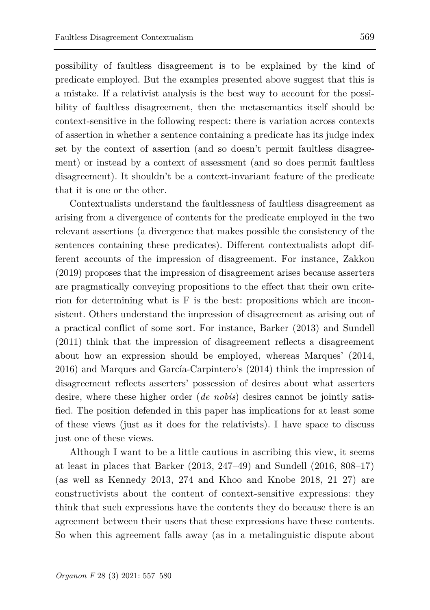possibility of faultless disagreement is to be explained by the kind of predicate employed. But the examples presented above suggest that this is a mistake. If a relativist analysis is the best way to account for the possibility of faultless disagreement, then the metasemantics itself should be context-sensitive in the following respect: there is variation across contexts of assertion in whether a sentence containing a predicate has its judge index set by the context of assertion (and so doesn't permit faultless disagreement) or instead by a context of assessment (and so does permit faultless disagreement). It shouldn't be a context-invariant feature of the predicate that it is one or the other.

Contextualists understand the faultlessness of faultless disagreement as arising from a divergence of contents for the predicate employed in the two relevant assertions (a divergence that makes possible the consistency of the sentences containing these predicates). Different contextualists adopt different accounts of the impression of disagreement. For instance, Zakkou (2019) proposes that the impression of disagreement arises because asserters are pragmatically conveying propositions to the effect that their own criterion for determining what is F is the best: propositions which are inconsistent. Others understand the impression of disagreement as arising out of a practical conflict of some sort. For instance, Barker (2013) and Sundell (2011) think that the impression of disagreement reflects a disagreement about how an expression should be employed, whereas Marques' (2014, 2016) and Marques and García-Carpintero's (2014) think the impression of disagreement reflects asserters' possession of desires about what asserters desire, where these higher order (*de nobis*) desires cannot be jointly satisfied. The position defended in this paper has implications for at least some of these views (just as it does for the relativists). I have space to discuss just one of these views.

Although I want to be a little cautious in ascribing this view, it seems at least in places that Barker  $(2013, 247-49)$  and Sundell  $(2016, 808-17)$ (as well as Kennedy 2013, 274 and Khoo and Knobe 2018, 21–27) are constructivists about the content of context-sensitive expressions: they think that such expressions have the contents they do because there is an agreement between their users that these expressions have these contents. So when this agreement falls away (as in a metalinguistic dispute about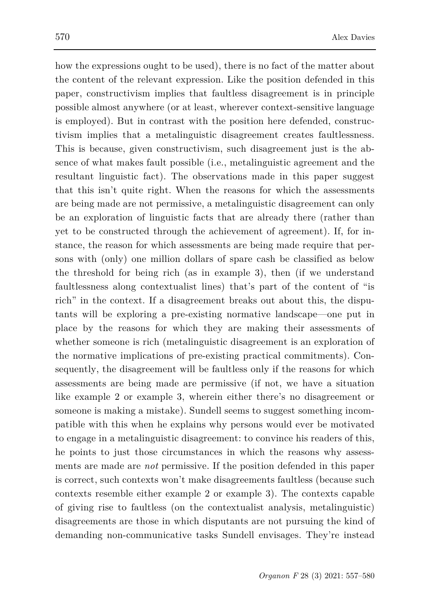how the expressions ought to be used), there is no fact of the matter about the content of the relevant expression. Like the position defended in this paper, constructivism implies that faultless disagreement is in principle possible almost anywhere (or at least, wherever context-sensitive language is employed). But in contrast with the position here defended, constructivism implies that a metalinguistic disagreement creates faultlessness. This is because, given constructivism, such disagreement just is the absence of what makes fault possible (i.e., metalinguistic agreement and the resultant linguistic fact). The observations made in this paper suggest that this isn't quite right. When the reasons for which the assessments are being made are not permissive, a metalinguistic disagreement can only be an exploration of linguistic facts that are already there (rather than yet to be constructed through the achievement of agreement). If, for instance, the reason for which assessments are being made require that persons with (only) one million dollars of spare cash be classified as below the threshold for being rich (as in example 3), then (if we understand faultlessness along contextualist lines) that's part of the content of "is rich" in the context. If a disagreement breaks out about this, the disputants will be exploring a pre-existing normative landscape—one put in place by the reasons for which they are making their assessments of whether someone is rich (metalinguistic disagreement is an exploration of the normative implications of pre-existing practical commitments). Consequently, the disagreement will be faultless only if the reasons for which assessments are being made are permissive (if not, we have a situation like example 2 or example 3, wherein either there's no disagreement or someone is making a mistake). Sundell seems to suggest something incompatible with this when he explains why persons would ever be motivated to engage in a metalinguistic disagreement: to convince his readers of this, he points to just those circumstances in which the reasons why assessments are made are *not* permissive. If the position defended in this paper is correct, such contexts won't make disagreements faultless (because such contexts resemble either example 2 or example 3). The contexts capable of giving rise to faultless (on the contextualist analysis, metalinguistic) disagreements are those in which disputants are not pursuing the kind of demanding non-communicative tasks Sundell envisages. They're instead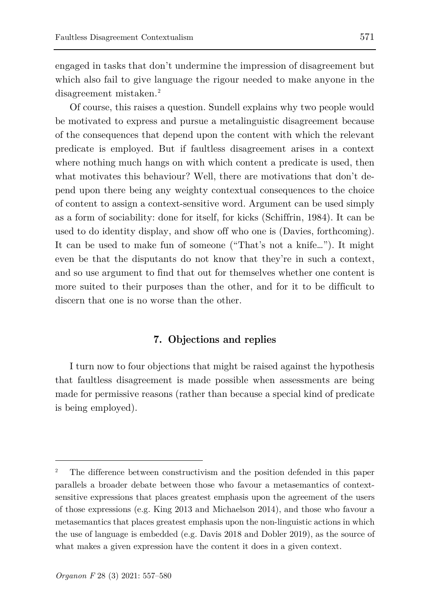engaged in tasks that don't undermine the impression of disagreement but which also fail to give language the rigour needed to make anyone in the disagreement mistaken.<sup>[2](#page-14-0)</sup>

Of course, this raises a question. Sundell explains why two people would be motivated to express and pursue a metalinguistic disagreement because of the consequences that depend upon the content with which the relevant predicate is employed. But if faultless disagreement arises in a context where nothing much hangs on with which content a predicate is used, then what motivates this behaviour? Well, there are motivations that don't depend upon there being any weighty contextual consequences to the choice of content to assign a context-sensitive word. Argument can be used simply as a form of sociability: done for itself, for kicks (Schiffrin, 1984). It can be used to do identity display, and show off who one is (Davies, forthcoming). It can be used to make fun of someone ("That's not a knife…"). It might even be that the disputants do not know that they're in such a context, and so use argument to find that out for themselves whether one content is more suited to their purposes than the other, and for it to be difficult to discern that one is no worse than the other.

### **7. Objections and replies**

I turn now to four objections that might be raised against the hypothesis that faultless disagreement is made possible when assessments are being made for permissive reasons (rather than because a special kind of predicate is being employed).

ł

<span id="page-14-0"></span><sup>2</sup> The difference between constructivism and the position defended in this paper parallels a broader debate between those who favour a metasemantics of contextsensitive expressions that places greatest emphasis upon the agreement of the users of those expressions (e.g. King 2013 and Michaelson 2014), and those who favour a metasemantics that places greatest emphasis upon the non-linguistic actions in which the use of language is embedded (e.g. Davis 2018 and Dobler 2019), as the source of what makes a given expression have the content it does in a given context.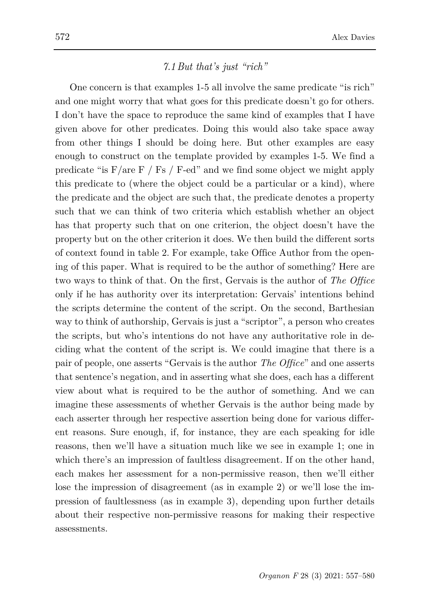## *7.1 But that's just "rich"*

One concern is that examples 1-5 all involve the same predicate "is rich" and one might worry that what goes for this predicate doesn't go for others. I don't have the space to reproduce the same kind of examples that I have given above for other predicates. Doing this would also take space away from other things I should be doing here. But other examples are easy enough to construct on the template provided by examples 1-5. We find a predicate "is  $F/are F / Fs / Fed$ " and we find some object we might apply this predicate to (where the object could be a particular or a kind), where the predicate and the object are such that, the predicate denotes a property such that we can think of two criteria which establish whether an object has that property such that on one criterion, the object doesn't have the property but on the other criterion it does. We then build the different sorts of context found in table 2. For example, take Office Author from the opening of this paper. What is required to be the author of something? Here are two ways to think of that. On the first, Gervais is the author of *The Office* only if he has authority over its interpretation: Gervais' intentions behind the scripts determine the content of the script. On the second, Barthesian way to think of authorship, Gervais is just a "scriptor", a person who creates the scripts, but who's intentions do not have any authoritative role in deciding what the content of the script is. We could imagine that there is a pair of people, one asserts "Gervais is the author *The Office*" and one asserts that sentence's negation, and in asserting what she does, each has a different view about what is required to be the author of something. And we can imagine these assessments of whether Gervais is the author being made by each asserter through her respective assertion being done for various different reasons. Sure enough, if, for instance, they are each speaking for idle reasons, then we'll have a situation much like we see in example 1; one in which there's an impression of faultless disagreement. If on the other hand, each makes her assessment for a non-permissive reason, then we'll either lose the impression of disagreement (as in example 2) or we'll lose the impression of faultlessness (as in example 3), depending upon further details about their respective non-permissive reasons for making their respective assessments.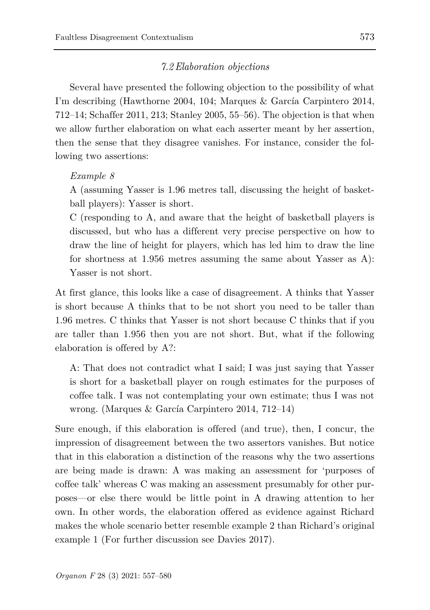### *7.2Elaboration objections*

Several have presented the following objection to the possibility of what I'm describing (Hawthorne 2004, 104; Marques & García Carpintero 2014, 712–14; Schaffer 2011, 213; Stanley 2005, 55–56). The objection is that when we allow further elaboration on what each asserter meant by her assertion, then the sense that they disagree vanishes. For instance, consider the following two assertions:

### *Example 8*

A (assuming Yasser is 1.96 metres tall, discussing the height of basketball players): Yasser is short.

C (responding to A, and aware that the height of basketball players is discussed, but who has a different very precise perspective on how to draw the line of height for players, which has led him to draw the line for shortness at 1.956 metres assuming the same about Yasser as A): Yasser is not short.

At first glance, this looks like a case of disagreement. A thinks that Yasser is short because A thinks that to be not short you need to be taller than 1.96 metres. C thinks that Yasser is not short because C thinks that if you are taller than 1.956 then you are not short. But, what if the following elaboration is offered by A?:

A: That does not contradict what I said; I was just saying that Yasser is short for a basketball player on rough estimates for the purposes of coffee talk. I was not contemplating your own estimate; thus I was not wrong. (Marques & García Carpintero 2014, 712–14)

Sure enough, if this elaboration is offered (and true), then, I concur, the impression of disagreement between the two assertors vanishes. But notice that in this elaboration a distinction of the reasons why the two assertions are being made is drawn: A was making an assessment for 'purposes of coffee talk' whereas C was making an assessment presumably for other purposes—or else there would be little point in A drawing attention to her own. In other words, the elaboration offered as evidence against Richard makes the whole scenario better resemble example 2 than Richard's original example 1 (For further discussion see Davies 2017).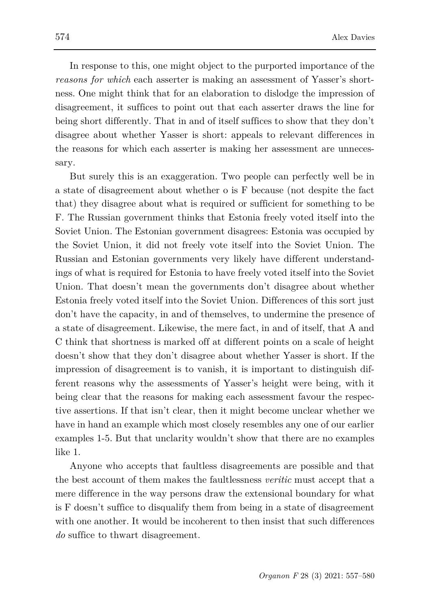In response to this, one might object to the purported importance of the *reasons for which* each asserter is making an assessment of Yasser's shortness. One might think that for an elaboration to dislodge the impression of disagreement, it suffices to point out that each asserter draws the line for being short differently. That in and of itself suffices to show that they don't disagree about whether Yasser is short: appeals to relevant differences in the reasons for which each asserter is making her assessment are unnecessary.

But surely this is an exaggeration. Two people can perfectly well be in a state of disagreement about whether o is F because (not despite the fact that) they disagree about what is required or sufficient for something to be F. The Russian government thinks that Estonia freely voted itself into the Soviet Union. The Estonian government disagrees: Estonia was occupied by the Soviet Union, it did not freely vote itself into the Soviet Union. The Russian and Estonian governments very likely have different understandings of what is required for Estonia to have freely voted itself into the Soviet Union. That doesn't mean the governments don't disagree about whether Estonia freely voted itself into the Soviet Union. Differences of this sort just don't have the capacity, in and of themselves, to undermine the presence of a state of disagreement. Likewise, the mere fact, in and of itself, that A and C think that shortness is marked off at different points on a scale of height doesn't show that they don't disagree about whether Yasser is short. If the impression of disagreement is to vanish, it is important to distinguish different reasons why the assessments of Yasser's height were being, with it being clear that the reasons for making each assessment favour the respective assertions. If that isn't clear, then it might become unclear whether we have in hand an example which most closely resembles any one of our earlier examples 1-5. But that unclarity wouldn't show that there are no examples like 1.

Anyone who accepts that faultless disagreements are possible and that the best account of them makes the faultlessness *veritic* must accept that a mere difference in the way persons draw the extensional boundary for what is F doesn't suffice to disqualify them from being in a state of disagreement with one another. It would be incoherent to then insist that such differences *do* suffice to thwart disagreement.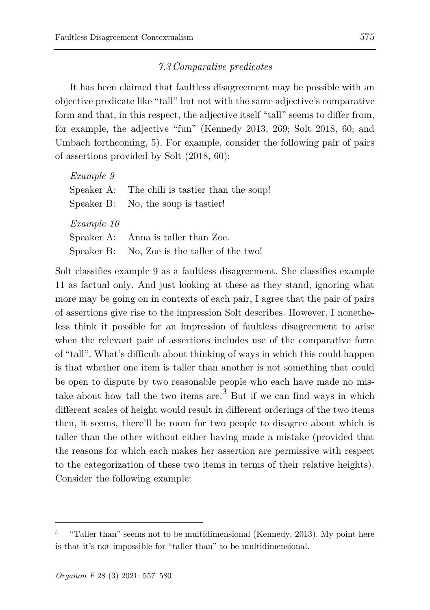### *7.3 Comparative predicates*

It has been claimed that faultless disagreement may be possible with an objective predicate like "tall" but not with the same adjective's comparative form and that, in this respect, the adjective itself "tall" seems to differ from, for example, the adjective "fun" (Kennedy 2013, 269; Solt 2018, 60; and Umbach forthcoming, 5). For example, consider the following pair of pairs of assertions provided by Solt (2018, 60):

| Speaker A: The chili is tastier than the soup! |
|------------------------------------------------|
| Speaker B: No, the soup is tastier!            |
|                                                |
|                                                |
| Speaker A: Anna is taller than Zoe.            |
|                                                |

Solt classifies example 9 as a faultless disagreement. She classifies example 11 as factual only. And just looking at these as they stand, ignoring what more may be going on in contexts of each pair, I agree that the pair of pairs of assertions give rise to the impression Solt describes. However, I nonetheless think it possible for an impression of faultless disagreement to arise when the relevant pair of assertions includes use of the comparative form of "tall". What's difficult about thinking of ways in which this could happen is that whether one item is taller than another is not something that could be open to dispute by two reasonable people who each have made no mis-take about how tall the two items are.<sup>[3](#page-18-0)</sup> But if we can find ways in which different scales of height would result in different orderings of the two items then, it seems, there'll be room for two people to disagree about which is taller than the other without either having made a mistake (provided that the reasons for which each makes her assertion are permissive with respect to the categorization of these two items in terms of their relative heights). Consider the following example:

ł

<span id="page-18-0"></span><sup>&</sup>quot;Taller than" seems not to be multidimensional (Kennedy, 2013). My point here is that it's not impossible for "taller than" to be multidimensional.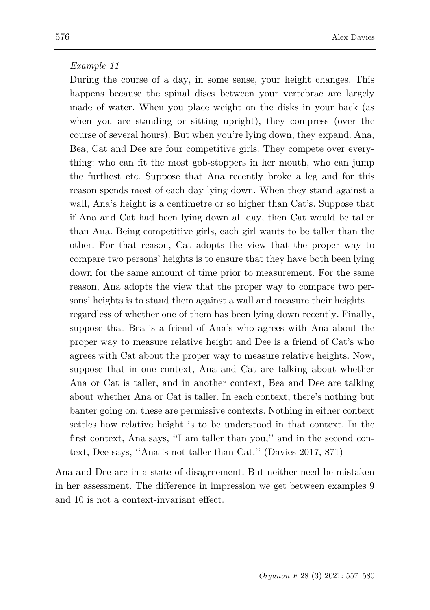### *Example 11*

During the course of a day, in some sense, your height changes. This happens because the spinal discs between your vertebrae are largely made of water. When you place weight on the disks in your back (as when you are standing or sitting upright), they compress (over the course of several hours). But when you're lying down, they expand. Ana, Bea, Cat and Dee are four competitive girls. They compete over everything: who can fit the most gob-stoppers in her mouth, who can jump the furthest etc. Suppose that Ana recently broke a leg and for this reason spends most of each day lying down. When they stand against a wall, Ana's height is a centimetre or so higher than Cat's. Suppose that if Ana and Cat had been lying down all day, then Cat would be taller than Ana. Being competitive girls, each girl wants to be taller than the other. For that reason, Cat adopts the view that the proper way to compare two persons' heights is to ensure that they have both been lying down for the same amount of time prior to measurement. For the same reason, Ana adopts the view that the proper way to compare two persons' heights is to stand them against a wall and measure their heights regardless of whether one of them has been lying down recently. Finally, suppose that Bea is a friend of Ana's who agrees with Ana about the proper way to measure relative height and Dee is a friend of Cat's who agrees with Cat about the proper way to measure relative heights. Now, suppose that in one context, Ana and Cat are talking about whether Ana or Cat is taller, and in another context, Bea and Dee are talking about whether Ana or Cat is taller. In each context, there's nothing but banter going on: these are permissive contexts. Nothing in either context settles how relative height is to be understood in that context. In the first context, Ana says, ''I am taller than you,'' and in the second context, Dee says, ''Ana is not taller than Cat.'' (Davies 2017, 871)

Ana and Dee are in a state of disagreement. But neither need be mistaken in her assessment. The difference in impression we get between examples 9 and 10 is not a context-invariant effect.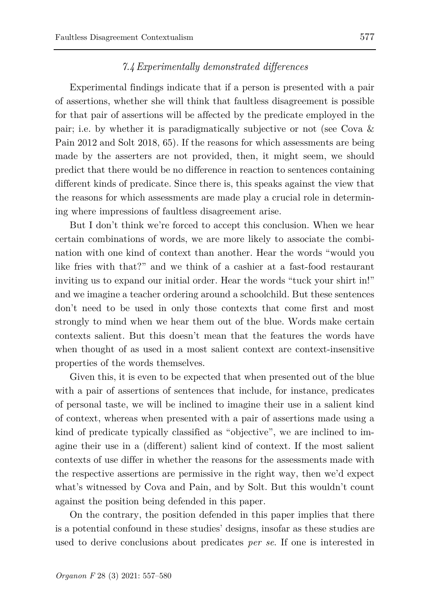## *7.4Experimentally demonstrated differences*

Experimental findings indicate that if a person is presented with a pair of assertions, whether she will think that faultless disagreement is possible for that pair of assertions will be affected by the predicate employed in the pair; i.e. by whether it is paradigmatically subjective or not (see Cova & Pain 2012 and Solt 2018, 65). If the reasons for which assessments are being made by the asserters are not provided, then, it might seem, we should predict that there would be no difference in reaction to sentences containing different kinds of predicate. Since there is, this speaks against the view that the reasons for which assessments are made play a crucial role in determining where impressions of faultless disagreement arise.

But I don't think we're forced to accept this conclusion. When we hear certain combinations of words, we are more likely to associate the combination with one kind of context than another. Hear the words "would you like fries with that?" and we think of a cashier at a fast-food restaurant inviting us to expand our initial order. Hear the words "tuck your shirt in!" and we imagine a teacher ordering around a schoolchild. But these sentences don't need to be used in only those contexts that come first and most strongly to mind when we hear them out of the blue. Words make certain contexts salient. But this doesn't mean that the features the words have when thought of as used in a most salient context are context-insensitive properties of the words themselves.

Given this, it is even to be expected that when presented out of the blue with a pair of assertions of sentences that include, for instance, predicates of personal taste, we will be inclined to imagine their use in a salient kind of context, whereas when presented with a pair of assertions made using a kind of predicate typically classified as "objective", we are inclined to imagine their use in a (different) salient kind of context. If the most salient contexts of use differ in whether the reasons for the assessments made with the respective assertions are permissive in the right way, then we'd expect what's witnessed by Cova and Pain, and by Solt. But this wouldn't count against the position being defended in this paper.

On the contrary, the position defended in this paper implies that there is a potential confound in these studies' designs, insofar as these studies are used to derive conclusions about predicates *per se*. If one is interested in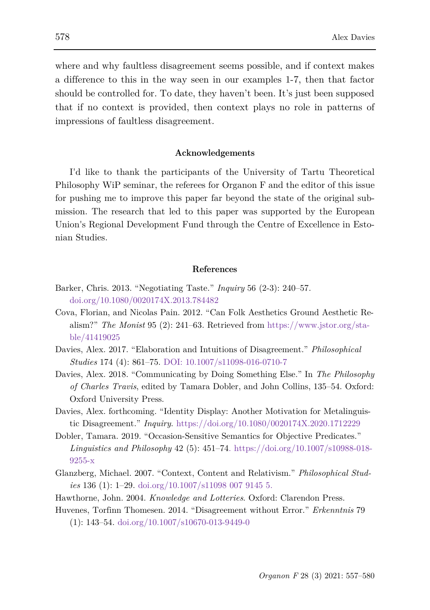where and why faultless disagreement seems possible, and if context makes a difference to this in the way seen in our examples 1-7, then that factor should be controlled for. To date, they haven't been. It's just been supposed that if no context is provided, then context plays no role in patterns of impressions of faultless disagreement.

#### **Acknowledgements**

I'd like to thank the participants of the University of Tartu Theoretical Philosophy WiP seminar, the referees for Organon F and the editor of this issue for pushing me to improve this paper far beyond the state of the original submission. The research that led to this paper was supported by the European Union's Regional Development Fund through the Centre of Excellence in Estonian Studies.

#### **References**

- Barker, Chris. 2013. "Negotiating Taste." *Inquiry* 56 (2-3): 240–57. [doi.org/10.1080/0020174X.2013.784482](http://doi.org/10.1080/0020174X.2013.784482)
- Cova, Florian, and Nicolas Pain. 2012. "Can Folk Aesthetics Ground Aesthetic Realism?" *The Monist* 95 (2): 241–63. Retrieved from [https://www.jstor.org/sta](https://www.jstor.org/stable/41419025)[ble/41419025](https://www.jstor.org/stable/41419025)
- Davies, Alex. 2017. "Elaboration and Intuitions of Disagreement." *Philosophical Studies* 174 (4): 861–75. [DOI: 10.1007/s11098-016-0710-7](doi:%2010.1007/s11098-016-0710-7)
- Davies, Alex. 2018. "Communicating by Doing Something Else." In *The Philosophy of Charles Travis*, edited by Tamara Dobler, and John Collins, 135–54. Oxford: Oxford University Press.
- Davies, Alex. forthcoming. "Identity Display: Another Motivation for Metalinguistic Disagreement." *Inquiry*.<https://doi.org/10.1080/0020174X.2020.1712229>
- Dobler, Tamara. 2019. "Occasion-Sensitive Semantics for Objective Predicates." *Linguistics and Philosophy* 42 (5): 451–74. [https://doi.org/10.1007/s10988-018-](https://doi.org/10.1007/s10988-018-9255-x) [9255-x](https://doi.org/10.1007/s10988-018-9255-x)
- Glanzberg, Michael. 2007. "Context, Content and Relativism." *Philosophical Studies* 136 (1): 1–29. [doi.org/10.1007/s11098 007 9145 5.](http://doi.org/10.1007/s11098%20007%209145%205)
- Hawthorne, John. 2004. *Knowledge and Lotteries*. Oxford: Clarendon Press.
- Huvenes, Torfinn Thomesen. 2014. "Disagreement without Error." *Erkenntnis* 79 (1): 143–54. [doi.org/10.1007/s10670-013-9449-0](http://doi.org/10.1007/s10670-013-9449-0)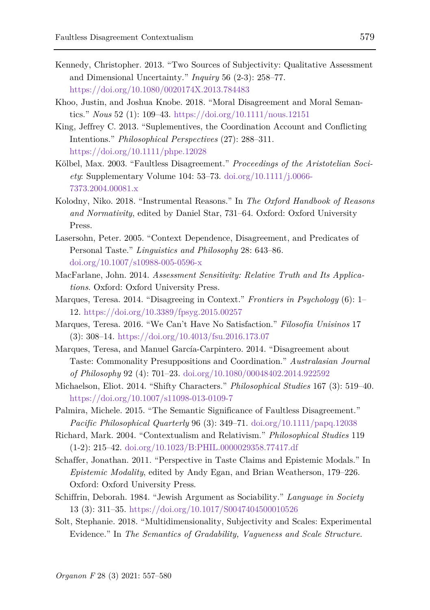- Kennedy, Christopher. 2013. "Two Sources of Subjectivity: Qualitative Assessment and Dimensional Uncertainty." *Inquiry* 56 (2-3): 258–77. <https://doi.org/10.1080/0020174X.2013.784483>
- Khoo, Justin, and Joshua Knobe. 2018. "Moral Disagreement and Moral Semantics." *Nous* 52 (1): 109–43.<https://doi.org/10.1111/nous.12151>
- King, Jeffrey C. 2013. "Suplementives, the Coordination Account and Conflicting Intentions." *Philosophical Perspectives* (27): 288–311. <https://doi.org/10.1111/phpe.12028>
- Kölbel, Max. 2003. "Faultless Disagreement." *Proceedings of the Aristotelian Society*: Supplementary Volume 104: 53–73. [doi.org/10.1111/j.0066-](http://doi.org/10.1111/j.0066-7373.2004.00081.x) [7373.2004.00081.x](http://doi.org/10.1111/j.0066-7373.2004.00081.x)
- Kolodny, Niko. 2018. "Instrumental Reasons." In *The Oxford Handbook of Reasons and Normativity*, edited by Daniel Star, 731–64. Oxford: Oxford University Press.
- Lasersohn, Peter. 2005. "Context Dependence, Disagreement, and Predicates of Personal Taste." *Linguistics and Philosophy* 28: 643–86. [doi.org/10.1007/s10988-005-0596-x](http://doi.org/10.1007/s10988-005-0596-x)
- MacFarlane, John. 2014. *Assessment Sensitivity: Relative Truth and Its Applications*. Oxford: Oxford University Press.
- Marques, Teresa. 2014. "Disagreeing in Context." *Frontiers in Psychology* (6): 1– 12[. https://doi.org/10.3389/fpsyg.2015.00257](https://doi.org/10.3389/fpsyg.2015.00257)
- Marques, Teresa. 2016. "We Can't Have No Satisfaction." *Filosofia Unisinos* 17 (3): 308–14.<https://doi.org/10.4013/fsu.2016.173.07>
- Marques, Teresa, and Manuel García-Carpintero. 2014. "Disagreement about Taste: Commonality Presuppositions and Coordination." *Australasian Journal of Philosophy* 92 (4): 701–23. [doi.org/10.1080/00048402.2014.922592](http://doi.org/10.1080/00048402.2014.922592)
- Michaelson, Eliot. 2014. "Shifty Characters." *Philosophical Studies* 167 (3): 519–40. <https://doi.org/10.1007/s11098-013-0109-7>
- Palmira, Michele. 2015. "The Semantic Significance of Faultless Disagreement." *Pacific Philosophical Quarterly* 96 (3): 349–71. [doi.org/10.1111/papq.12038](http://doi.org/10.1111/papq.12038)
- Richard, Mark. 2004. "Contextualism and Relativism." *Philosophical Studies* 119 (1-2): 215–42. doi.org/10.1023/B:PHIL.0000029358.77417.df
- Schaffer, Jonathan. 2011. "Perspective in Taste Claims and Epistemic Modals." In *Epistemic Modality*, edited by Andy Egan, and Brian Weatherson, 179–226. Oxford: Oxford University Press.
- Schiffrin, Deborah. 1984. "Jewish Argument as Sociability." *Language in Society* 13 (3): 311–35.<https://doi.org/10.1017/S0047404500010526>
- Solt, Stephanie. 2018. "Multidimensionality, Subjectivity and Scales: Experimental Evidence." In *The Semantics of Gradability, Vagueness and Scale Structure*.